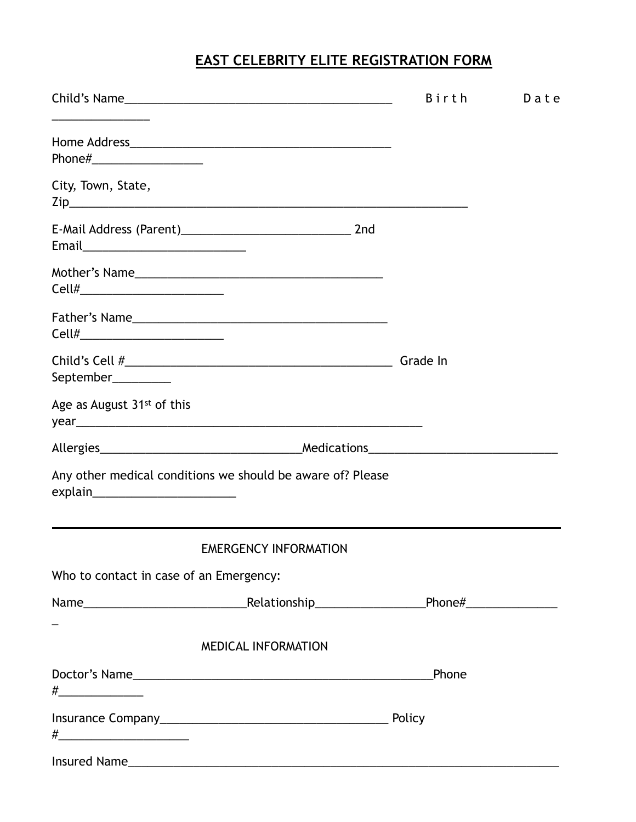## **EAST CELEBRITY ELITE REGISTRATION FORM**

|                                                                                                  |                              | <b>Birth</b> | Date |
|--------------------------------------------------------------------------------------------------|------------------------------|--------------|------|
| Phone#_______________________                                                                    |                              |              |      |
| City, Town, State,                                                                               |                              |              |      |
| Email______________________________                                                              |                              |              |      |
| Cell#___________________________                                                                 |                              |              |      |
|                                                                                                  |                              |              |      |
| September__________                                                                              |                              | Grade In     |      |
| Age as August 31 <sup>st</sup> of this                                                           |                              |              |      |
|                                                                                                  |                              |              |      |
| Any other medical conditions we should be aware of? Please<br>explain___________________________ |                              |              |      |
|                                                                                                  | <b>EMERGENCY INFORMATION</b> |              |      |
| Who to contact in case of an Emergency:                                                          |                              |              |      |
|                                                                                                  |                              |              |      |
|                                                                                                  | <b>MEDICAL INFORMATION</b>   |              |      |
|                                                                                                  |                              | Phone        |      |
| #_________________________________                                                               |                              |              |      |
|                                                                                                  |                              |              |      |